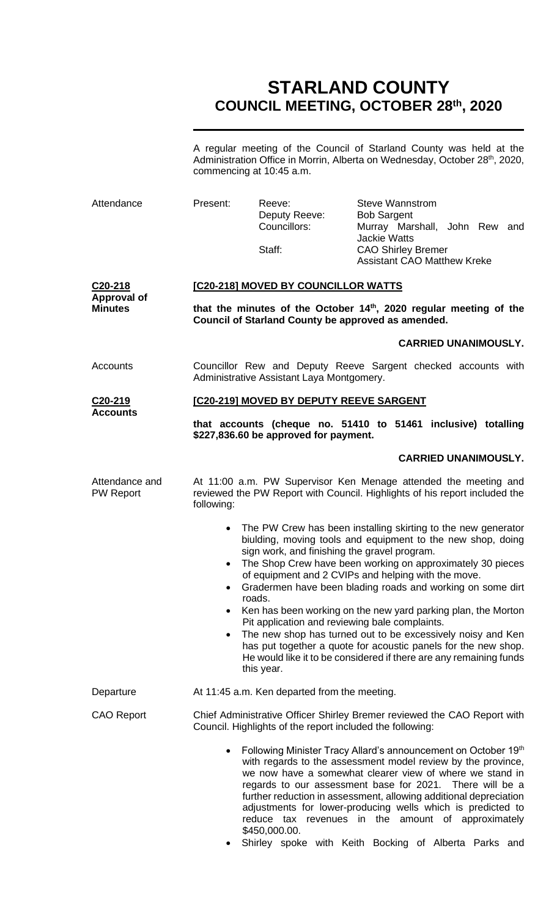# **STARLAND COUNTY COUNCIL MEETING, OCTOBER 28th, 2020**

A regular meeting of the Council of Starland County was held at the Administration Office in Morrin, Alberta on Wednesday, October 28<sup>th</sup>, 2020, commencing at 10:45 a.m.

| Attendance                                                   | Present:                                                                                                                                                                                                                                                                                                                                                                                                                                                                                                                                         | Reeve:<br>Deputy Reeve:<br>Councillors:<br>Staff:                                                                                                                                                                                                                                                                                                                                                                                                                                                                                                                                                                                                                                                                 | <b>Steve Wannstrom</b><br><b>Bob Sargent</b><br>Murray Marshall, John Rew and<br><b>Jackie Watts</b><br><b>CAO Shirley Bremer</b><br><b>Assistant CAO Matthew Kreke</b> |  |  |
|--------------------------------------------------------------|--------------------------------------------------------------------------------------------------------------------------------------------------------------------------------------------------------------------------------------------------------------------------------------------------------------------------------------------------------------------------------------------------------------------------------------------------------------------------------------------------------------------------------------------------|-------------------------------------------------------------------------------------------------------------------------------------------------------------------------------------------------------------------------------------------------------------------------------------------------------------------------------------------------------------------------------------------------------------------------------------------------------------------------------------------------------------------------------------------------------------------------------------------------------------------------------------------------------------------------------------------------------------------|-------------------------------------------------------------------------------------------------------------------------------------------------------------------------|--|--|
| C <sub>20</sub> -218<br><b>Approval of</b><br><b>Minutes</b> | [C20-218] MOVED BY COUNCILLOR WATTS<br>that the minutes of the October 14 <sup>th</sup> , 2020 regular meeting of the<br>Council of Starland County be approved as amended.                                                                                                                                                                                                                                                                                                                                                                      |                                                                                                                                                                                                                                                                                                                                                                                                                                                                                                                                                                                                                                                                                                                   |                                                                                                                                                                         |  |  |
|                                                              |                                                                                                                                                                                                                                                                                                                                                                                                                                                                                                                                                  |                                                                                                                                                                                                                                                                                                                                                                                                                                                                                                                                                                                                                                                                                                                   | <b>CARRIED UNANIMOUSLY.</b>                                                                                                                                             |  |  |
| Accounts                                                     | Councillor Rew and Deputy Reeve Sargent checked accounts with<br>Administrative Assistant Laya Montgomery.                                                                                                                                                                                                                                                                                                                                                                                                                                       |                                                                                                                                                                                                                                                                                                                                                                                                                                                                                                                                                                                                                                                                                                                   |                                                                                                                                                                         |  |  |
| C20-219                                                      | [C20-219] MOVED BY DEPUTY REEVE SARGENT                                                                                                                                                                                                                                                                                                                                                                                                                                                                                                          |                                                                                                                                                                                                                                                                                                                                                                                                                                                                                                                                                                                                                                                                                                                   |                                                                                                                                                                         |  |  |
| <b>Accounts</b>                                              | that accounts (cheque no. 51410 to 51461 inclusive) totalling<br>\$227,836.60 be approved for payment.                                                                                                                                                                                                                                                                                                                                                                                                                                           |                                                                                                                                                                                                                                                                                                                                                                                                                                                                                                                                                                                                                                                                                                                   |                                                                                                                                                                         |  |  |
|                                                              |                                                                                                                                                                                                                                                                                                                                                                                                                                                                                                                                                  |                                                                                                                                                                                                                                                                                                                                                                                                                                                                                                                                                                                                                                                                                                                   | <b>CARRIED UNANIMOUSLY.</b>                                                                                                                                             |  |  |
| Attendance and<br><b>PW Report</b>                           | At 11:00 a.m. PW Supervisor Ken Menage attended the meeting and<br>reviewed the PW Report with Council. Highlights of his report included the<br>following:                                                                                                                                                                                                                                                                                                                                                                                      |                                                                                                                                                                                                                                                                                                                                                                                                                                                                                                                                                                                                                                                                                                                   |                                                                                                                                                                         |  |  |
|                                                              | $\bullet$<br>$\bullet$<br>$\bullet$<br>٠                                                                                                                                                                                                                                                                                                                                                                                                                                                                                                         | The PW Crew has been installing skirting to the new generator<br>biulding, moving tools and equipment to the new shop, doing<br>sign work, and finishing the gravel program.<br>The Shop Crew have been working on approximately 30 pieces<br>of equipment and 2 CVIPs and helping with the move.<br>Gradermen have been blading roads and working on some dirt<br>roads.<br>Ken has been working on the new yard parking plan, the Morton<br>Pit application and reviewing bale complaints.<br>The new shop has turned out to be excessively noisy and Ken<br>has put together a quote for acoustic panels for the new shop.<br>He would like it to be considered if there are any remaining funds<br>this year. |                                                                                                                                                                         |  |  |
| Departure                                                    |                                                                                                                                                                                                                                                                                                                                                                                                                                                                                                                                                  | At 11:45 a.m. Ken departed from the meeting.                                                                                                                                                                                                                                                                                                                                                                                                                                                                                                                                                                                                                                                                      |                                                                                                                                                                         |  |  |
| <b>CAO Report</b>                                            | Chief Administrative Officer Shirley Bremer reviewed the CAO Report with<br>Council. Highlights of the report included the following:<br>Following Minister Tracy Allard's announcement on October 19th<br>$\bullet$<br>with regards to the assessment model review by the province,<br>we now have a somewhat clearer view of where we stand in<br>regards to our assessment base for 2021. There will be a<br>further reduction in assessment, allowing additional depreciation<br>adjustments for lower-producing wells which is predicted to |                                                                                                                                                                                                                                                                                                                                                                                                                                                                                                                                                                                                                                                                                                                   |                                                                                                                                                                         |  |  |
|                                                              |                                                                                                                                                                                                                                                                                                                                                                                                                                                                                                                                                  | \$450,000.00.                                                                                                                                                                                                                                                                                                                                                                                                                                                                                                                                                                                                                                                                                                     | reduce tax revenues in the amount of approximately                                                                                                                      |  |  |

• Shirley spoke with Keith Bocking of Alberta Parks and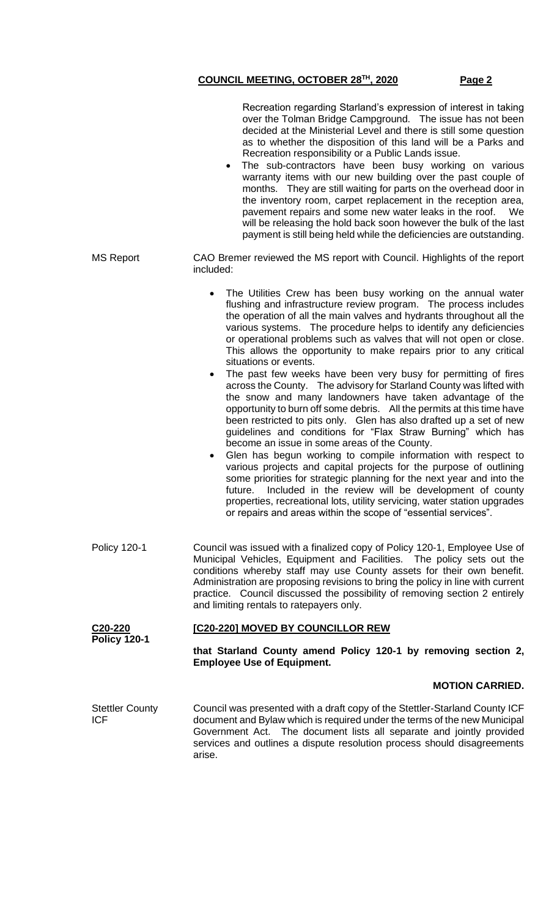|                                      | Recreation regarding Starland's expression of interest in taking<br>over the Tolman Bridge Campground. The issue has not been<br>decided at the Ministerial Level and there is still some question<br>as to whether the disposition of this land will be a Parks and<br>Recreation responsibility or a Public Lands issue.<br>The sub-contractors have been busy working on various<br>$\bullet$<br>warranty items with our new building over the past couple of<br>months. They are still waiting for parts on the overhead door in<br>the inventory room, carpet replacement in the reception area,<br>pavement repairs and some new water leaks in the roof.<br>We<br>will be releasing the hold back soon however the bulk of the last<br>payment is still being held while the deficiencies are outstanding.                                                                                                                                                                                                                                                                                                                                                                                                                                                                                                                                         |  |  |  |
|--------------------------------------|-----------------------------------------------------------------------------------------------------------------------------------------------------------------------------------------------------------------------------------------------------------------------------------------------------------------------------------------------------------------------------------------------------------------------------------------------------------------------------------------------------------------------------------------------------------------------------------------------------------------------------------------------------------------------------------------------------------------------------------------------------------------------------------------------------------------------------------------------------------------------------------------------------------------------------------------------------------------------------------------------------------------------------------------------------------------------------------------------------------------------------------------------------------------------------------------------------------------------------------------------------------------------------------------------------------------------------------------------------------|--|--|--|
| <b>MS Report</b>                     | CAO Bremer reviewed the MS report with Council. Highlights of the report<br>included:                                                                                                                                                                                                                                                                                                                                                                                                                                                                                                                                                                                                                                                                                                                                                                                                                                                                                                                                                                                                                                                                                                                                                                                                                                                                     |  |  |  |
|                                      | The Utilities Crew has been busy working on the annual water<br>flushing and infrastructure review program. The process includes<br>the operation of all the main valves and hydrants throughout all the<br>various systems. The procedure helps to identify any deficiencies<br>or operational problems such as valves that will not open or close.<br>This allows the opportunity to make repairs prior to any critical<br>situations or events.<br>The past few weeks have been very busy for permitting of fires<br>across the County. The advisory for Starland County was lifted with<br>the snow and many landowners have taken advantage of the<br>opportunity to burn off some debris. All the permits at this time have<br>been restricted to pits only. Glen has also drafted up a set of new<br>guidelines and conditions for "Flax Straw Burning" which has<br>become an issue in some areas of the County.<br>Glen has begun working to compile information with respect to<br>various projects and capital projects for the purpose of outlining<br>some priorities for strategic planning for the next year and into the<br>Included in the review will be development of county<br>future.<br>properties, recreational lots, utility servicing, water station upgrades<br>or repairs and areas within the scope of "essential services". |  |  |  |
| <b>Policy 120-1</b>                  | Council was issued with a finalized copy of Policy 120-1, Employee Use of<br>Municipal Vehicles, Equipment and Facilities. The policy sets out the<br>conditions whereby staff may use County assets for their own benefit.<br>Administration are proposing revisions to bring the policy in line with current<br>practice. Council discussed the possibility of removing section 2 entirely<br>and limiting rentals to ratepayers only.                                                                                                                                                                                                                                                                                                                                                                                                                                                                                                                                                                                                                                                                                                                                                                                                                                                                                                                  |  |  |  |
| C20-220<br><b>Policy 120-1</b>       | [C20-220] MOVED BY COUNCILLOR REW                                                                                                                                                                                                                                                                                                                                                                                                                                                                                                                                                                                                                                                                                                                                                                                                                                                                                                                                                                                                                                                                                                                                                                                                                                                                                                                         |  |  |  |
|                                      | that Starland County amend Policy 120-1 by removing section 2,<br><b>Employee Use of Equipment.</b>                                                                                                                                                                                                                                                                                                                                                                                                                                                                                                                                                                                                                                                                                                                                                                                                                                                                                                                                                                                                                                                                                                                                                                                                                                                       |  |  |  |
|                                      | <b>MOTION CARRIED.</b>                                                                                                                                                                                                                                                                                                                                                                                                                                                                                                                                                                                                                                                                                                                                                                                                                                                                                                                                                                                                                                                                                                                                                                                                                                                                                                                                    |  |  |  |
| <b>Stettler County</b><br><b>ICF</b> | Council was presented with a draft copy of the Stettler-Starland County ICF<br>document and Bylaw which is required under the terms of the new Municipal<br>Government Act. The document lists all separate and jointly provided<br>services and outlines a dispute resolution process should disagreements<br>arise.                                                                                                                                                                                                                                                                                                                                                                                                                                                                                                                                                                                                                                                                                                                                                                                                                                                                                                                                                                                                                                     |  |  |  |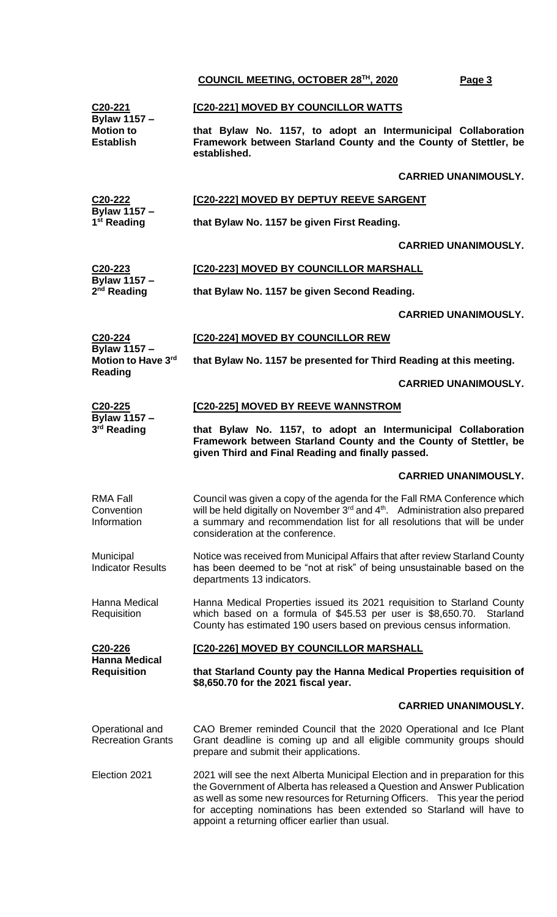**C20-221 Bylaw 1157 – Motion to Establish [C20-221] MOVED BY COUNCILLOR WATTS that Bylaw No. 1157, to adopt an Intermunicipal Collaboration Framework between Starland County and the County of Stettler, be established. CARRIED UNANIMOUSLY. C20-222 Bylaw 1157 – 1 st Reading [C20-222] MOVED BY DEPTUY REEVE SARGENT that Bylaw No. 1157 be given First Reading. CARRIED UNANIMOUSLY. C20-223 Bylaw 1157 – 2 nd Reading [C20-223] MOVED BY COUNCILLOR MARSHALL that Bylaw No. 1157 be given Second Reading. CARRIED UNANIMOUSLY. C20-224 Bylaw 1157 – Motion to Have 3rd Reading [C20-224] MOVED BY COUNCILLOR REW that Bylaw No. 1157 be presented for Third Reading at this meeting. CARRIED UNANIMOUSLY. C20-225 Bylaw 1157 – 3 rd Reading [C20-225] MOVED BY REEVE WANNSTROM that Bylaw No. 1157, to adopt an Intermunicipal Collaboration Framework between Starland County and the County of Stettler, be given Third and Final Reading and finally passed. CARRIED UNANIMOUSLY.** RMA Fall **Convention** Information Council was given a copy of the agenda for the Fall RMA Conference which will be held digitally on November  $3<sup>rd</sup>$  and  $4<sup>th</sup>$ . Administration also prepared a summary and recommendation list for all resolutions that will be under consideration at the conference. **Municipal** Indicator Results Notice was received from Municipal Affairs that after review Starland County has been deemed to be "not at risk" of being unsustainable based on the departments 13 indicators. Hanna Medical **Requisition** Hanna Medical Properties issued its 2021 requisition to Starland County which based on a formula of \$45.53 per user is \$8,650.70. Starland County has estimated 190 users based on previous census information. **C20-226 Hanna Medical Requisition [C20-226] MOVED BY COUNCILLOR MARSHALL that Starland County pay the Hanna Medical Properties requisition of \$8,650.70 for the 2021 fiscal year. CARRIED UNANIMOUSLY.** Operational and Recreation Grants CAO Bremer reminded Council that the 2020 Operational and Ice Plant Grant deadline is coming up and all eligible community groups should prepare and submit their applications. Election 2021 2021 will see the next Alberta Municipal Election and in preparation for this the Government of Alberta has released a Question and Answer Publication as well as some new resources for Returning Officers. This year the period for accepting nominations has been extended so Starland will have to appoint a returning officer earlier than usual.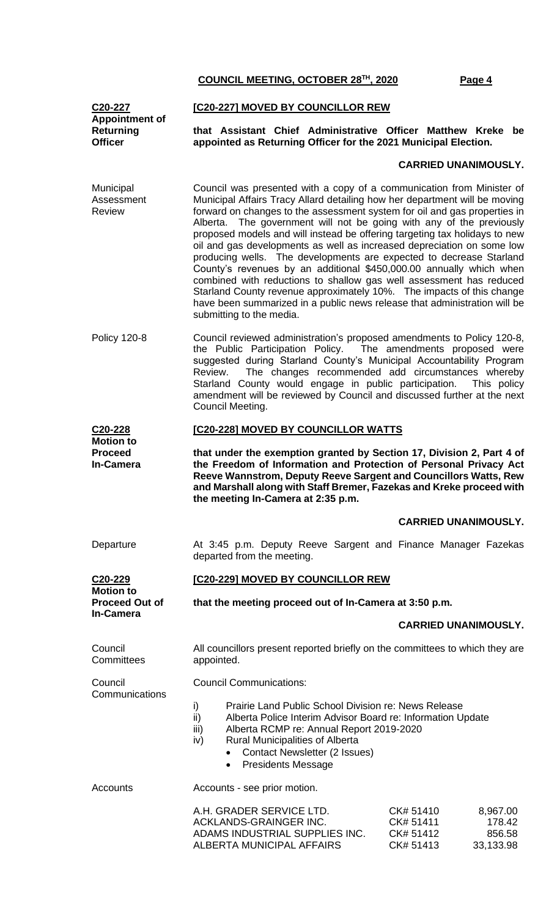#### **C20-227 Appointment of Returning Officer**

## **[C20-227] MOVED BY COUNCILLOR REW**

**that Assistant Chief Administrative Officer Matthew Kreke be appointed as Returning Officer for the 2021 Municipal Election.**

### **CARRIED UNANIMOUSLY.**

- Municipal Assessment Review Council was presented with a copy of a communication from Minister of Municipal Affairs Tracy Allard detailing how her department will be moving forward on changes to the assessment system for oil and gas properties in Alberta. The government will not be going with any of the previously proposed models and will instead be offering targeting tax holidays to new oil and gas developments as well as increased depreciation on some low producing wells. The developments are expected to decrease Starland County's revenues by an additional \$450,000.00 annually which when combined with reductions to shallow gas well assessment has reduced Starland County revenue approximately 10%. The impacts of this change have been summarized in a public news release that administration will be submitting to the media.
- Policy 120-8 Council reviewed administration's proposed amendments to Policy 120-8, the Public Participation Policy. The amendments proposed were suggested during Starland County's Municipal Accountability Program Review. The changes recommended add circumstances whereby Starland County would engage in public participation. This policy amendment will be reviewed by Council and discussed further at the next Council Meeting.

#### **C20-228 Motion to [C20-228] MOVED BY COUNCILLOR WATTS**

**that under the exemption granted by Section 17, Division 2, Part 4 of the Freedom of Information and Protection of Personal Privacy Act Reeve Wannstrom, Deputy Reeve Sargent and Councillors Watts, Rew and Marshall along with Staff Bremer, Fazekas and Kreke proceed with the meeting In-Camera at 2:35 p.m.**

#### **CARRIED UNANIMOUSLY.**

Departure **At 3:45 p.m. Deputy Reeve Sargent and Finance Manager Fazekas** departed from the meeting.

## **[C20-229] MOVED BY COUNCILLOR REW**

| VLU-LLJ               |  |
|-----------------------|--|
| <b>Motion to</b>      |  |
| <b>Proceed Out of</b> |  |
| In-Camera             |  |
|                       |  |

**Proceed In-Camera**

**C20-229**

**Council Committees** 

Council

**that the meeting proceed out of In-Camera at 3:50 p.m.**

#### **CARRIED UNANIMOUSLY.**

All councillors present reported briefly on the committees to which they are appointed.

**Communications** Council Communications:

- i) Prairie Land Public School Division re: News Release
- ii) Alberta Police Interim Advisor Board re: Information Update
- iii) Alberta RCMP re: Annual Report 2019-2020
- iv) Rural Municipalities of Alberta
	- Contact Newsletter (2 Issues)
		- Presidents Message

Accounts Accounts - see prior motion.

| A.H. GRADER SERVICE LTD.       | CK# 51410 | 8.967.00  |
|--------------------------------|-----------|-----------|
| ACKLANDS-GRAINGER INC.         | CK# 51411 | 178.42    |
| ADAMS INDUSTRIAL SUPPLIES INC. | CK# 51412 | 856.58    |
| ALBERTA MUNICIPAL AFFAIRS      | CK# 51413 | 33.133.98 |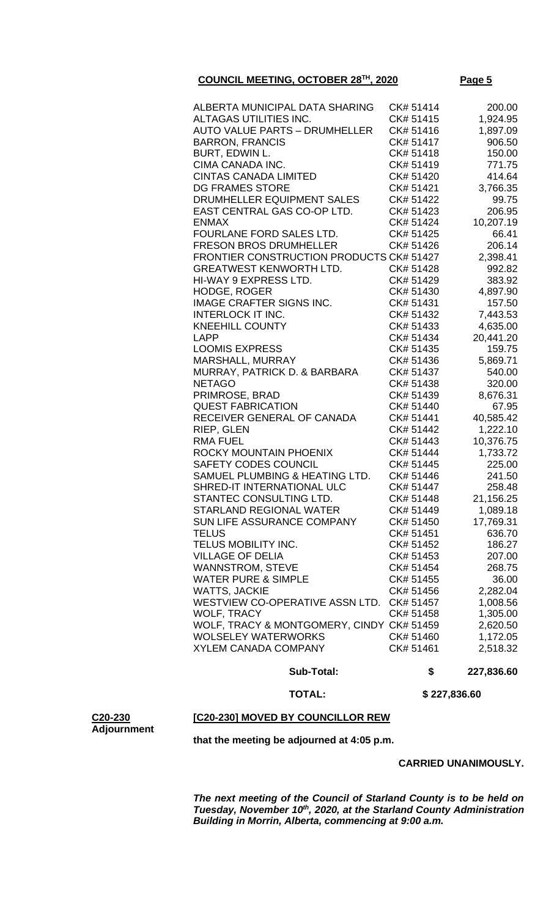| ALBERTA MUNICIPAL DATA SHARING            | CK# 51414 | 200.00    |
|-------------------------------------------|-----------|-----------|
| ALTAGAS UTILITIES INC.                    | CK# 51415 | 1,924.95  |
| <b>AUTO VALUE PARTS - DRUMHELLER</b>      | CK# 51416 | 1,897.09  |
| <b>BARRON, FRANCIS</b>                    | CK# 51417 | 906.50    |
| BURT, EDWIN L.                            | CK# 51418 | 150.00    |
| CIMA CANADA INC.                          | CK# 51419 | 771.75    |
| <b>CINTAS CANADA LIMITED</b>              | CK# 51420 | 414.64    |
| <b>DG FRAMES STORE</b>                    | CK# 51421 | 3,766.35  |
| DRUMHELLER EQUIPMENT SALES                | CK# 51422 | 99.75     |
| EAST CENTRAL GAS CO-OP LTD.               | CK# 51423 | 206.95    |
| <b>ENMAX</b>                              | CK# 51424 | 10,207.19 |
| FOURLANE FORD SALES LTD.                  | CK# 51425 | 66.41     |
| <b>FRESON BROS DRUMHELLER</b>             | CK# 51426 | 206.14    |
| FRONTIER CONSTRUCTION PRODUCTS CK# 51427  |           | 2,398.41  |
| <b>GREATWEST KENWORTH LTD.</b>            | CK# 51428 | 992.82    |
| HI-WAY 9 EXPRESS LTD.                     | CK# 51429 | 383.92    |
| <b>HODGE, ROGER</b>                       | CK# 51430 | 4,897.90  |
| <b>IMAGE CRAFTER SIGNS INC.</b>           | CK# 51431 | 157.50    |
| <b>INTERLOCK IT INC.</b>                  | CK# 51432 | 7,443.53  |
| <b>KNEEHILL COUNTY</b>                    | CK# 51433 | 4,635.00  |
| <b>LAPP</b>                               | CK# 51434 | 20,441.20 |
| <b>LOOMIS EXPRESS</b>                     | CK# 51435 | 159.75    |
| MARSHALL, MURRAY                          | CK# 51436 | 5,869.71  |
| MURRAY, PATRICK D. & BARBARA              | CK# 51437 | 540.00    |
| <b>NETAGO</b>                             | CK# 51438 | 320.00    |
| PRIMROSE, BRAD                            | CK# 51439 | 8,676.31  |
| <b>QUEST FABRICATION</b>                  | CK# 51440 | 67.95     |
| RECEIVER GENERAL OF CANADA                | CK# 51441 | 40,585.42 |
| RIEP, GLEN                                | CK# 51442 | 1,222.10  |
| <b>RMA FUEL</b>                           | CK# 51443 | 10,376.75 |
| ROCKY MOUNTAIN PHOENIX                    | CK# 51444 | 1,733.72  |
| SAFETY CODES COUNCIL                      | CK# 51445 | 225.00    |
| SAMUEL PLUMBING & HEATING LTD.            | CK# 51446 | 241.50    |
| SHRED-IT INTERNATIONAL ULC                | CK# 51447 | 258.48    |
| STANTEC CONSULTING LTD.                   | CK# 51448 | 21,156.25 |
| STARLAND REGIONAL WATER                   | CK# 51449 | 1,089.18  |
| <b>SUN LIFE ASSURANCE COMPANY</b>         | CK# 51450 | 17,769.31 |
| <b>TELUS</b>                              | CK# 51451 | 636.70    |
| TELUS MOBILITY INC.                       | CK# 51452 | 186.27    |
| <b>VILLAGE OF DELIA</b>                   | CK# 51453 | 207.00    |
| <b>WANNSTROM, STEVE</b>                   | CK# 51454 | 268.75    |
| <b>WATER PURE &amp; SIMPLE</b>            | CK# 51455 | 36.00     |
| <b>WATTS, JACKIE</b>                      | CK# 51456 | 2,282.04  |
| WESTVIEW CO-OPERATIVE ASSN LTD.           | CK# 51457 | 1,008.56  |
| WOLF, TRACY                               | CK# 51458 | 1,305.00  |
| WOLF, TRACY & MONTGOMERY, CINDY CK# 51459 |           | 2,620.50  |
| <b>WOLSELEY WATERWORKS</b>                | CK# 51460 | 1,172.05  |
| <b>XYLEM CANADA COMPANY</b>               | CK# 51461 | 2,518.32  |
|                                           |           |           |

 **Sub-Total: \$ 227,836.60**

 **TOTAL: \$ 227,836.60**

#### **C20-230 [C20-230] MOVED BY COUNCILLOR REW**

**Adjournment**

**that the meeting be adjourned at 4:05 p.m.**

**CARRIED UNANIMOUSLY.**

*The next meeting of the Council of Starland County is to be held on Tuesday, November 10th, 2020, at the Starland County Administration Building in Morrin, Alberta, commencing at 9:00 a.m.*